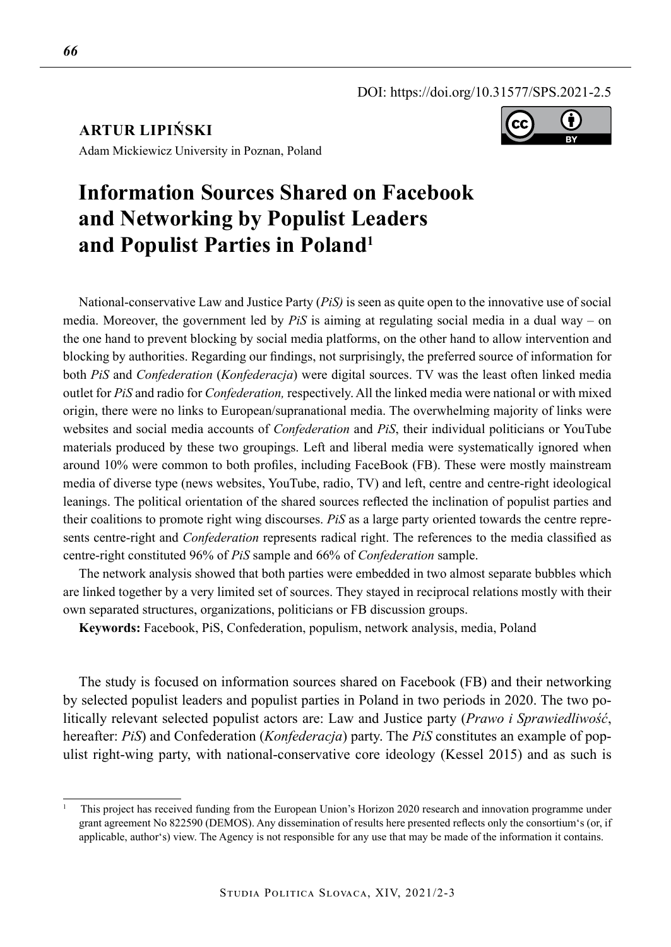DOI: https://doi.org/10.31577/SPS.2021-2.5

**ARTUR LIPIŃSKI**



Adam Mickiewicz University in Poznan, Poland

# **Information Sources Shared on Facebook and Networking by Populist Leaders and Populist Parties in Poland<sup>1</sup>**

National-conservative Law and Justice Party (*PiS)* is seen as quite open to the innovative use of social media. Moreover, the government led by *PiS* is aiming at regulating social media in a dual way – on the one hand to prevent blocking by social media platforms, on the other hand to allow intervention and blocking by authorities. Regarding our findings, not surprisingly, the preferred source of information for both *PiS* and *Confederation* (*Konfederacja*) were digital sources. TV was the least often linked media outlet for *PiS* and radio for *Confederation,* respectively. All the linked media were national or with mixed origin, there were no links to European/supranational media. The overwhelming majority of links were websites and social media accounts of *Confederation* and *PiS*, their individual politicians or YouTube materials produced by these two groupings. Left and liberal media were systematically ignored when around 10% were common to both profiles, including FaceBook (FB). These were mostly mainstream media of diverse type (news websites, YouTube, radio, TV) and left, centre and centre-right ideological leanings. The political orientation of the shared sources reflected the inclination of populist parties and their coalitions to promote right wing discourses. *PiS* as a large party oriented towards the centre represents centre-right and *Confederation* represents radical right. The references to the media classified as centre-right constituted 96% of *PiS* sample and 66% of *Confederation* sample.

The network analysis showed that both parties were embedded in two almost separate bubbles which are linked together by a very limited set of sources. They stayed in reciprocal relations mostly with their own separated structures, organizations, politicians or FB discussion groups.

**Keywords:** Facebook, PiS, Confederation, populism, network analysis, media, Poland

The study is focused on information sources shared on Facebook (FB) and their networking by selected populist leaders and populist parties in Poland in two periods in 2020. The two politically relevant selected populist actors are: Law and Justice party (*Prawo i Sprawiedliwość*, hereafter: *PiS*) and Confederation (*Konfederacja*) party. The *PiS* constitutes an example of populist right-wing party, with national-conservative core ideology (Kessel 2015) and as such is

<sup>1</sup> This project has received funding from the European Union's Horizon 2020 research and innovation programme under grant agreement No 822590 (DEMOS). Any dissemination of results here presented reflects only the consortium's (or, if applicable, author's) view. The Agency is not responsible for any use that may be made of the information it contains.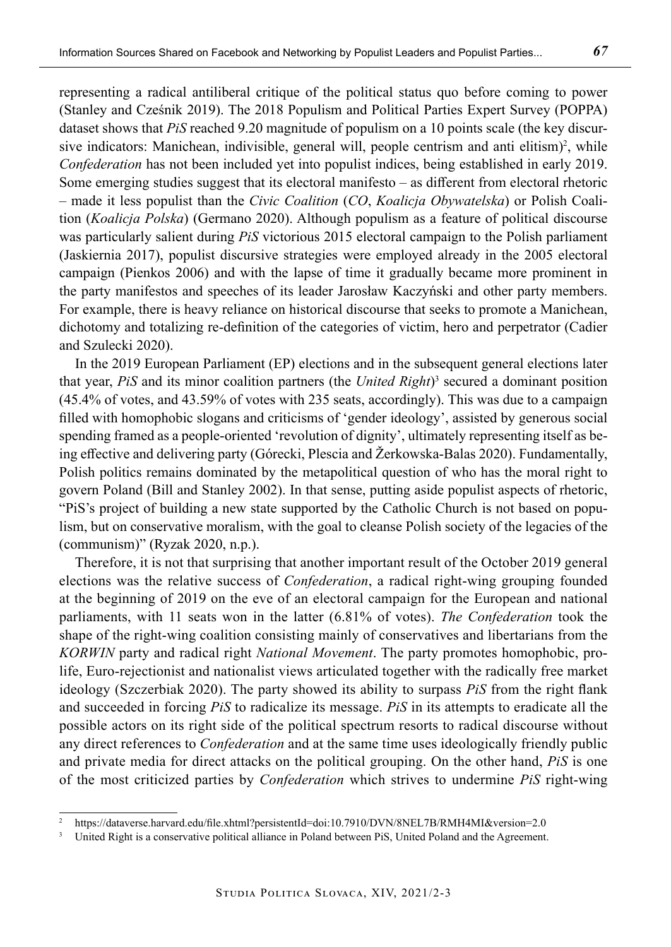representing a radical antiliberal critique of the political status quo before coming to power (Stanley and Cześnik 2019). The 2018 Populism and Political Parties Expert Survey (POPPA) dataset shows that *PiS* reached 9.20 magnitude of populism on a 10 points scale (the key discursive indicators: Manichean, indivisible, general will, people centrism and anti elitism)<sup>2</sup>, while *Confederation* has not been included yet into populist indices, being established in early 2019. Some emerging studies suggest that its electoral manifesto – as different from electoral rhetoric – made it less populist than the *Civic Coalition* (*CO*, *Koalicja Obywatelska*) or Polish Coalition (*Koalicja Polska*) (Germano 2020). Although populism as a feature of political discourse was particularly salient during *PiS* victorious 2015 electoral campaign to the Polish parliament (Jaskiernia 2017), populist discursive strategies were employed already in the 2005 electoral campaign (Pienkos 2006) and with the lapse of time it gradually became more prominent in the party manifestos and speeches of its leader Jarosław Kaczyński and other party members. For example, there is heavy reliance on historical discourse that seeks to promote a Manichean, dichotomy and totalizing re-definition of the categories of victim, hero and perpetrator (Cadier and Szulecki 2020).

In the 2019 European Parliament (EP) elections and in the subsequent general elections later that year, *PiS* and its minor coalition partners (the *United Right*)<sup>3</sup> secured a dominant position (45.4% of votes, and 43.59% of votes with 235 seats, accordingly). This was due to a campaign filled with homophobic slogans and criticisms of 'gender ideology', assisted by generous social spending framed as a people-oriented 'revolution of dignity', ultimately representing itself as being effective and delivering party (Górecki, Plescia and Žerkowska-Balas 2020). Fundamentally, Polish politics remains dominated by the metapolitical question of who has the moral right to govern Poland (Bill and Stanley 2002). In that sense, putting aside populist aspects of rhetoric, "PiS's project of building a new state supported by the Catholic Church is not based on populism, but on conservative moralism, with the goal to cleanse Polish society of the legacies of the (communism)" (Ryzak 2020, n.p.).

Therefore, it is not that surprising that another important result of the October 2019 general elections was the relative success of *Confederation*, a radical right-wing grouping founded at the beginning of 2019 on the eve of an electoral campaign for the European and national parliaments, with 11 seats won in the latter (6.81% of votes). *The Confederation* took the shape of the right-wing coalition consisting mainly of conservatives and libertarians from the *KORWIN* party and radical right *National Movement*. The party promotes homophobic, prolife, Euro-rejectionist and nationalist views articulated together with the radically free market ideology (Szczerbiak 2020). The party showed its ability to surpass *PiS* from the right flank and succeeded in forcing *PiS* to radicalize its message. *PiS* in its attempts to eradicate all the possible actors on its right side of the political spectrum resorts to radical discourse without any direct references to *Confederation* and at the same time uses ideologically friendly public and private media for direct attacks on the political grouping. On the other hand, *PiS* is one of the most criticized parties by *Confederation* which strives to undermine *PiS* right-wing

<sup>2</sup> https://dataverse.harvard.edu/file.xhtml?persistentId=doi:10.7910/DVN/8NEL7B/RMH4MI&version=2.0<br><sup>3</sup> United Picht is a conservative political alliance in Poland between PiS. United Poland and the Agreement

<sup>3</sup> United Right is a conservative political alliance in Poland between PiS, United Poland and the Agreement.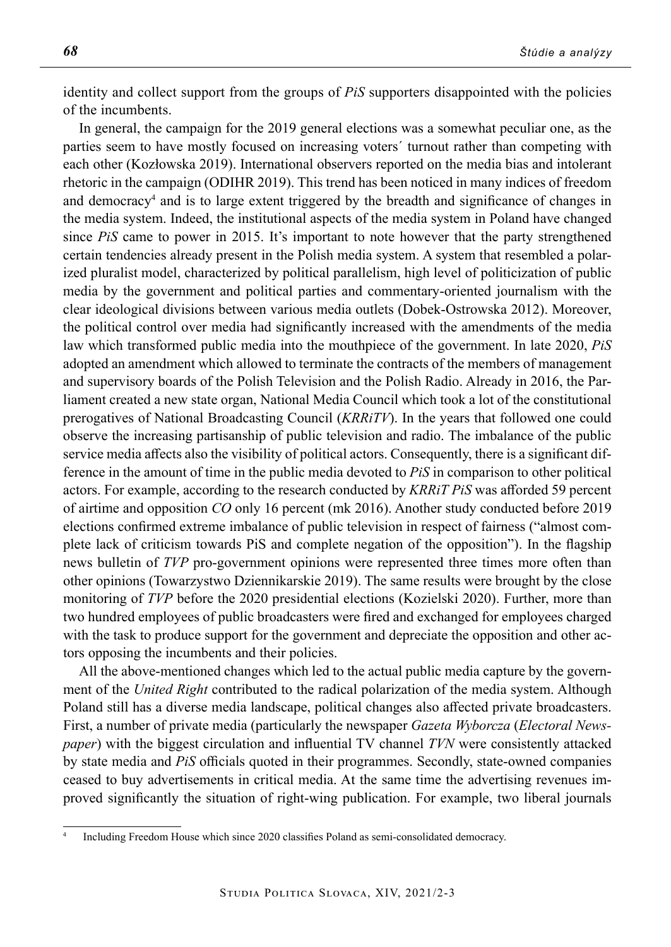identity and collect support from the groups of *PiS* supporters disappointed with the policies of the incumbents.

In general, the campaign for the 2019 general elections was a somewhat peculiar one, as the parties seem to have mostly focused on increasing voters´ turnout rather than competing with each other (Kozłowska 2019). International observers reported on the media bias and intolerant rhetoric in the campaign (ODIHR 2019). This trend has been noticed in many indices of freedom and democracy<sup>4</sup> and is to large extent triggered by the breadth and significance of changes in the media system. Indeed, the institutional aspects of the media system in Poland have changed since *PiS* came to power in 2015. It's important to note however that the party strengthened certain tendencies already present in the Polish media system. A system that resembled a polarized pluralist model, characterized by political parallelism, high level of politicization of public media by the government and political parties and commentary-oriented journalism with the clear ideological divisions between various media outlets (Dobek-Ostrowska 2012). Moreover, the political control over media had significantly increased with the amendments of the media law which transformed public media into the mouthpiece of the government. In late 2020, *PiS* adopted an amendment which allowed to terminate the contracts of the members of management and supervisory boards of the Polish Television and the Polish Radio. Already in 2016, the Parliament created a new state organ, National Media Council which took a lot of the constitutional prerogatives of National Broadcasting Council (*KRRiTV*). In the years that followed one could observe the increasing partisanship of public television and radio. The imbalance of the public service media affects also the visibility of political actors. Consequently, there is a significant difference in the amount of time in the public media devoted to *PiS* in comparison to other political actors. For example, according to the research conducted by *KRRiT PiS* was afforded 59 percent of airtime and opposition *CO* only 16 percent (mk 2016). Another study conducted before 2019 elections confirmed extreme imbalance of public television in respect of fairness ("almost complete lack of criticism towards PiS and complete negation of the opposition"). In the flagship news bulletin of *TVP* pro-government opinions were represented three times more often than other opinions (Towarzystwo Dziennikarskie 2019). The same results were brought by the close monitoring of *TVP* before the 2020 presidential elections (Kozielski 2020). Further, more than two hundred employees of public broadcasters were fired and exchanged for employees charged with the task to produce support for the government and depreciate the opposition and other actors opposing the incumbents and their policies.

All the above-mentioned changes which led to the actual public media capture by the government of the *United Right* contributed to the radical polarization of the media system. Although Poland still has a diverse media landscape, political changes also affected private broadcasters. First, a number of private media (particularly the newspaper *Gazeta Wyborcza* (*Electoral Newspaper*) with the biggest circulation and influential TV channel *TVN* were consistently attacked by state media and *PiS* officials quoted in their programmes. Secondly, state-owned companies ceased to buy advertisements in critical media. At the same time the advertising revenues improved significantly the situation of right-wing publication. For example, two liberal journals

<sup>4</sup> Including Freedom House which since 2020 classifies Poland as semi-consolidated democracy.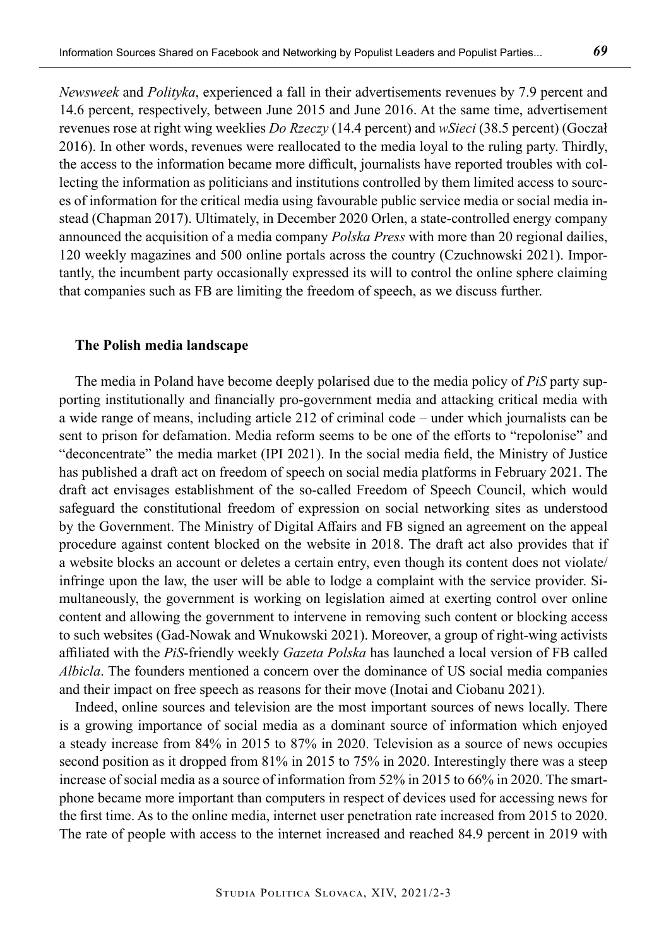*Newsweek* and *Polityka*, experienced a fall in their advertisements revenues by 7.9 percent and 14.6 percent, respectively, between June 2015 and June 2016. At the same time, advertisement revenues rose at right wing weeklies *Do Rzeczy* (14.4 percent) and *wSieci* (38.5 percent) (Goczał 2016). In other words, revenues were reallocated to the media loyal to the ruling party. Thirdly, the access to the information became more difficult, journalists have reported troubles with collecting the information as politicians and institutions controlled by them limited access to sources of information for the critical media using favourable public service media or social media instead (Chapman 2017). Ultimately, in December 2020 Orlen, a state-controlled energy company announced the acquisition of a media company *Polska Press* with more than 20 regional dailies, 120 weekly magazines and 500 online portals across the country (Czuchnowski 2021). Importantly, the incumbent party occasionally expressed its will to control the online sphere claiming that companies such as FB are limiting the freedom of speech, as we discuss further.

#### **The Polish media landscape**

The media in Poland have become deeply polarised due to the media policy of *PiS* party supporting institutionally and financially pro-government media and attacking critical media with a wide range of means, including article 212 of criminal code – under which journalists can be sent to prison for defamation. Media reform seems to be one of the efforts to "repolonise" and "deconcentrate" the media market (IPI 2021). In the social media field, the Ministry of Justice has published a draft act on freedom of speech on social media platforms in February 2021. The draft act envisages establishment of the so-called Freedom of Speech Council, which would safeguard the constitutional freedom of expression on social networking sites as understood by the Government. The Ministry of Digital Affairs and FB signed an agreement on the appeal procedure against content blocked on the website in 2018. The draft act also provides that if a website blocks an account or deletes a certain entry, even though its content does not violate/ infringe upon the law, the user will be able to lodge a complaint with the service provider. Simultaneously, the government is working on legislation aimed at exerting control over online content and allowing the government to intervene in removing such content or blocking access to such websites (Gad-Nowak and Wnukowski 2021). Moreover, a group of right-wing activists affiliated with the *PiS*-friendly weekly *Gazeta Polska* has launched a local version of FB called *Albicla*. The founders mentioned a concern over the dominance of US social media companies and their impact on free speech as reasons for their move (Inotai and Ciobanu 2021).

Indeed, online sources and television are the most important sources of news locally. There is a growing importance of social media as a dominant source of information which enjoyed a steady increase from 84% in 2015 to 87% in 2020. Television as a source of news occupies second position as it dropped from 81% in 2015 to 75% in 2020. Interestingly there was a steep increase of social media as a source of information from 52% in 2015 to 66% in 2020. The smartphone became more important than computers in respect of devices used for accessing news for the first time. As to the online media, internet user penetration rate increased from 2015 to 2020. The rate of people with access to the internet increased and reached 84.9 percent in 2019 with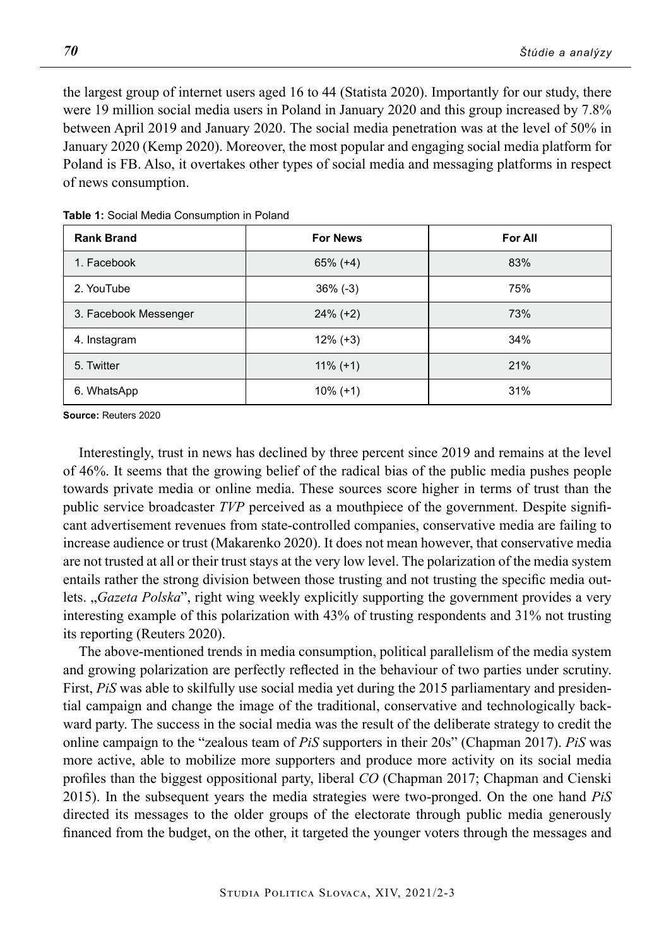the largest group of internet users aged 16 to 44 (Statista 2020). Importantly for our study, there were 19 million social media users in Poland in January 2020 and this group increased by 7.8% between April 2019 and January 2020. The social media penetration was at the level of 50% in January 2020 (Kemp 2020). Moreover, the most popular and engaging social media platform for Poland is FB. Also, it overtakes other types of social media and messaging platforms in respect of news consumption.

| <b>Rank Brand</b>     | <b>For News</b> | For All |
|-----------------------|-----------------|---------|
| 1. Facebook           | $65\% (+4)$     | 83%     |
| 2. YouTube            | $36\%$ (-3)     | 75%     |
| 3. Facebook Messenger | $24\% (+2)$     | 73%     |
| 4. Instagram          | $12\%$ (+3)     | 34%     |
| 5. Twitter            | $11\% (+1)$     | 21%     |
| 6. WhatsApp           | $10\%$ (+1)     | 31%     |

**Table 1:** Social Media Consumption in Poland

**Source:** Reuters 2020

Interestingly, trust in news has declined by three percent since 2019 and remains at the level of 46%. It seems that the growing belief of the radical bias of the public media pushes people towards private media or online media. These sources score higher in terms of trust than the public service broadcaster *TVP* perceived as a mouthpiece of the government. Despite significant advertisement revenues from state-controlled companies, conservative media are failing to increase audience or trust (Makarenko 2020). It does not mean however, that conservative media are not trusted at all or their trust stays at the very low level. The polarization of the media system entails rather the strong division between those trusting and not trusting the specific media outlets. "*Gazeta Polska*", right wing weekly explicitly supporting the government provides a very interesting example of this polarization with 43% of trusting respondents and 31% not trusting its reporting (Reuters 2020).

The above-mentioned trends in media consumption, political parallelism of the media system and growing polarization are perfectly reflected in the behaviour of two parties under scrutiny. First, *PiS* was able to skilfully use social media yet during the 2015 parliamentary and presidential campaign and change the image of the traditional, conservative and technologically backward party. The success in the social media was the result of the deliberate strategy to credit the online campaign to the "zealous team of *PiS* supporters in their 20s" (Chapman 2017). *PiS* was more active, able to mobilize more supporters and produce more activity on its social media profiles than the biggest oppositional party, liberal *CO* (Chapman 2017; Chapman and Cienski 2015). In the subsequent years the media strategies were two-pronged. On the one hand *PiS* directed its messages to the older groups of the electorate through public media generously financed from the budget, on the other, it targeted the younger voters through the messages and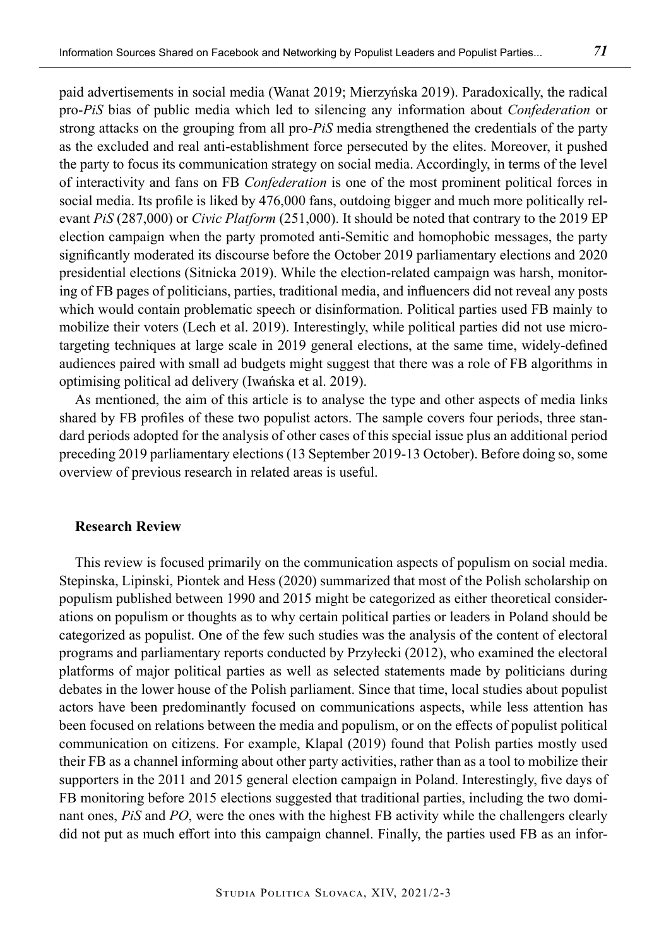paid advertisements in social media (Wanat 2019; Mierzyńska 2019). Paradoxically, the radical pro-*PiS* bias of public media which led to silencing any information about *Confederation* or strong attacks on the grouping from all pro-*PiS* media strengthened the credentials of the party as the excluded and real anti-establishment force persecuted by the elites. Moreover, it pushed the party to focus its communication strategy on social media. Accordingly, in terms of the level of interactivity and fans on FB *Confederation* is one of the most prominent political forces in social media. Its profile is liked by 476,000 fans, outdoing bigger and much more politically relevant *PiS* (287,000) or *Civic Platform* (251,000). It should be noted that contrary to the 2019 EP election campaign when the party promoted anti-Semitic and homophobic messages, the party significantly moderated its discourse before the October 2019 parliamentary elections and 2020 presidential elections (Sitnicka 2019). While the election-related campaign was harsh, monitoring of FB pages of politicians, parties, traditional media, and influencers did not reveal any posts which would contain problematic speech or disinformation. Political parties used FB mainly to mobilize their voters (Lech et al. 2019). Interestingly, while political parties did not use microtargeting techniques at large scale in 2019 general elections, at the same time, widely-defined audiences paired with small ad budgets might suggest that there was a role of FB algorithms in optimising political ad delivery (Iwańska et al. 2019).

As mentioned, the aim of this article is to analyse the type and other aspects of media links shared by FB profiles of these two populist actors. The sample covers four periods, three standard periods adopted for the analysis of other cases of this special issue plus an additional period preceding 2019 parliamentary elections (13 September 2019-13 October). Before doing so, some overview of previous research in related areas is useful.

#### **Research Review**

This review is focused primarily on the communication aspects of populism on social media. Stepinska, Lipinski, Piontek and Hess (2020) summarized that most of the Polish scholarship on populism published between 1990 and 2015 might be categorized as either theoretical considerations on populism or thoughts as to why certain political parties or leaders in Poland should be categorized as populist. One of the few such studies was the analysis of the content of electoral programs and parliamentary reports conducted by Przyłecki (2012), who examined the electoral platforms of major political parties as well as selected statements made by politicians during debates in the lower house of the Polish parliament. Since that time, local studies about populist actors have been predominantly focused on communications aspects, while less attention has been focused on relations between the media and populism, or on the effects of populist political communication on citizens. For example, Klapal (2019) found that Polish parties mostly used their FB as a channel informing about other party activities, rather than as a tool to mobilize their supporters in the 2011 and 2015 general election campaign in Poland. Interestingly, five days of FB monitoring before 2015 elections suggested that traditional parties, including the two dominant ones, *PiS* and *PO*, were the ones with the highest FB activity while the challengers clearly did not put as much effort into this campaign channel. Finally, the parties used FB as an infor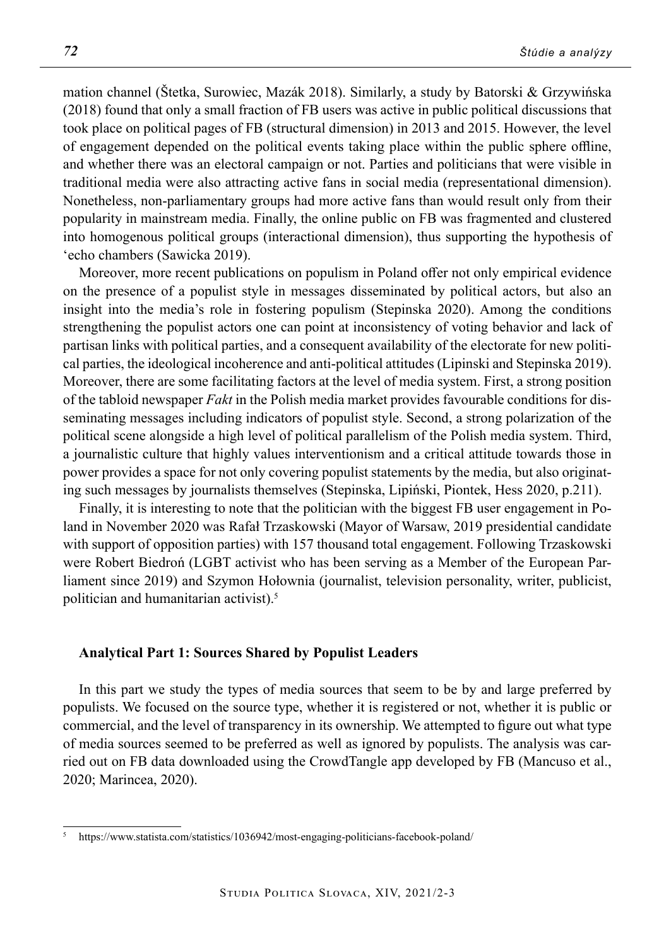mation channel (Štetka, Surowiec, Mazák 2018). Similarly, a study by Batorski & Grzywińska (2018) found that only a small fraction of FB users was active in public political discussions that took place on political pages of FB (structural dimension) in 2013 and 2015. However, the level of engagement depended on the political events taking place within the public sphere offline, and whether there was an electoral campaign or not. Parties and politicians that were visible in traditional media were also attracting active fans in social media (representational dimension). Nonetheless, non-parliamentary groups had more active fans than would result only from their popularity in mainstream media. Finally, the online public on FB was fragmented and clustered into homogenous political groups (interactional dimension), thus supporting the hypothesis of 'echo chambers (Sawicka 2019).

Moreover, more recent publications on populism in Poland offer not only empirical evidence on the presence of a populist style in messages disseminated by political actors, but also an insight into the media's role in fostering populism (Stepinska 2020). Among the conditions strengthening the populist actors one can point at inconsistency of voting behavior and lack of partisan links with political parties, and a consequent availability of the electorate for new political parties, the ideological incoherence and anti-political attitudes (Lipinski and Stepinska 2019). Moreover, there are some facilitating factors at the level of media system. First, a strong position of the tabloid newspaper *Fakt* in the Polish media market provides favourable conditions for disseminating messages including indicators of populist style. Second, a strong polarization of the political scene alongside a high level of political parallelism of the Polish media system. Third, a journalistic culture that highly values interventionism and a critical attitude towards those in power provides a space for not only covering populist statements by the media, but also originating such messages by journalists themselves (Stepinska, Lipiński, Piontek, Hess 2020, p.211).

Finally, it is interesting to note that the politician with the biggest FB user engagement in Poland in November 2020 was Rafał Trzaskowski (Mayor of Warsaw, 2019 presidential candidate with support of opposition parties) with 157 thousand total engagement. Following Trzaskowski were Robert Biedroń (LGBT activist who has been serving as a Member of the European Parliament since 2019) and Szymon Hołownia (journalist, television personality, writer, publicist, politician and humanitarian activist).5

## **Analytical Part 1: Sources Shared by Populist Leaders**

In this part we study the types of media sources that seem to be by and large preferred by populists. We focused on the source type, whether it is registered or not, whether it is public or commercial, and the level of transparency in its ownership. We attempted to figure out what type of media sources seemed to be preferred as well as ignored by populists. The analysis was carried out on FB data downloaded using the CrowdTangle app developed by FB (Mancuso et al., 2020; Marincea, 2020).

<sup>5</sup> https://www.statista.com/statistics/1036942/most-engaging-politicians-facebook-poland/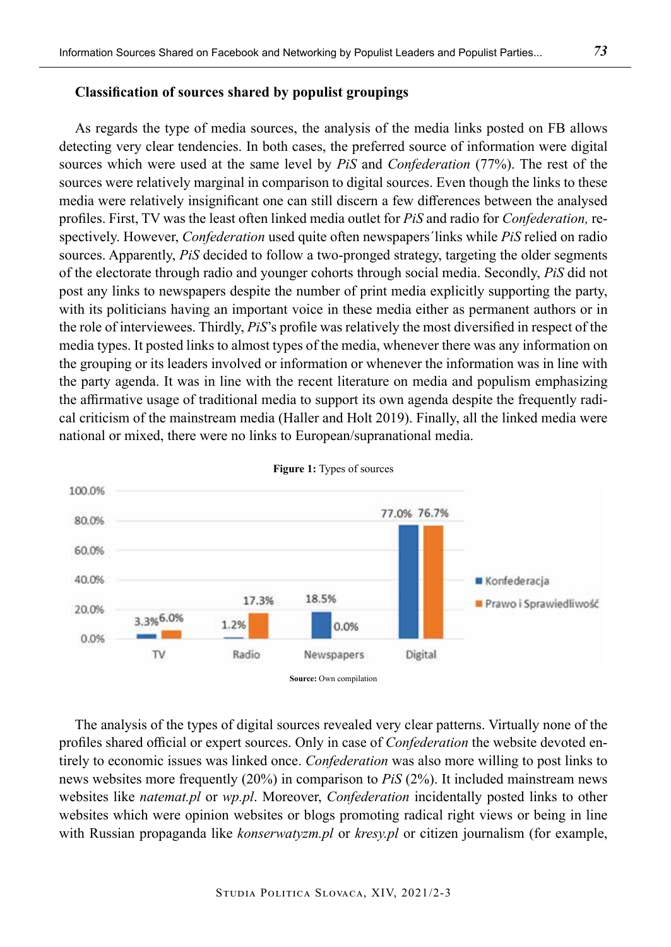# **Classification of sources shared by populist groupings**

As regards the type of media sources, the analysis of the media links posted on FB allows detecting very clear tendencies. In both cases, the preferred source of information were digital sources which were used at the same level by *PiS* and *Confederation* (77%). The rest of the sources were relatively marginal in comparison to digital sources. Even though the links to these media were relatively insignificant one can still discern a few differences between the analysed profiles. First, TV was the least often linked media outlet for *PiS* and radio for *Confederation,* respectively. However, *Confederation* used quite often newspapers´links while *PiS* relied on radio sources. Apparently, *PiS* decided to follow a two-pronged strategy, targeting the older segments of the electorate through radio and younger cohorts through social media. Secondly, *PiS* did not post any links to newspapers despite the number of print media explicitly supporting the party, with its politicians having an important voice in these media either as permanent authors or in the role of interviewees. Thirdly, *PiS*'s profile was relatively the most diversified in respect of the media types. It posted links to almost types of the media, whenever there was any information on the grouping or its leaders involved or information or whenever the information was in line with the party agenda. It was in line with the recent literature on media and populism emphasizing the affirmative usage of traditional media to support its own agenda despite the frequently radical criticism of the mainstream media (Haller and Holt 2019). Finally, all the linked media were national or mixed, there were no links to European/supranational media.



**Figure 1:** Types of sources

The analysis of the types of digital sources revealed very clear patterns. Virtually none of the profiles shared official or expert sources. Only in case of *Confederation* the website devoted entirely to economic issues was linked once. *Confederation* was also more willing to post links to news websites more frequently (20%) in comparison to *PiS* (2%). It included mainstream news websites like *natemat.pl* or *wp.pl*. Moreover, *Confederation* incidentally posted links to other websites which were opinion websites or blogs promoting radical right views or being in line with Russian propaganda like *konserwatyzm.pl* or *kresy.pl* or citizen journalism (for example,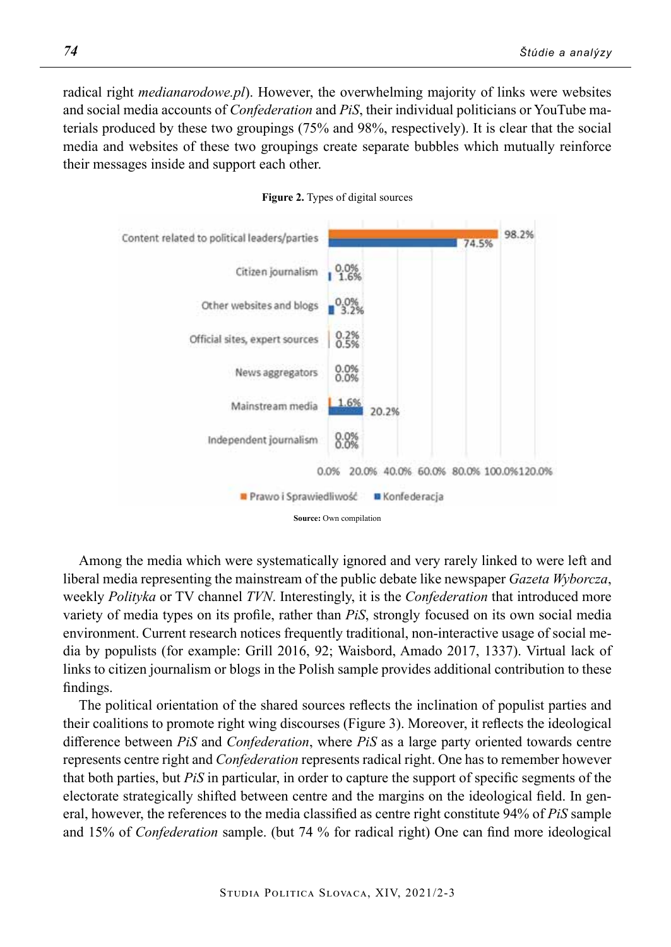radical right *medianarodowe.pl*). However, the overwhelming majority of links were websites and social media accounts of *Confederation* and *PiS*, their individual politicians or YouTube materials produced by these two groupings (75% and 98%, respectively). It is clear that the social media and websites of these two groupings create separate bubbles which mutually reinforce their messages inside and support each other.





Among the media which were systematically ignored and very rarely linked to were left and liberal media representing the mainstream of the public debate like newspaper *Gazeta Wyborcza*, weekly *Polityka* or TV channel *TVN*. Interestingly, it is the *Confederation* that introduced more variety of media types on its profile, rather than *PiS*, strongly focused on its own social media environment. Current research notices frequently traditional, non-interactive usage of social media by populists (for example: Grill 2016, 92; Waisbord, Amado 2017, 1337). Virtual lack of links to citizen journalism or blogs in the Polish sample provides additional contribution to these findings.

The political orientation of the shared sources reflects the inclination of populist parties and their coalitions to promote right wing discourses (Figure 3). Moreover, it reflects the ideological difference between *PiS* and *Confederation*, where *PiS* as a large party oriented towards centre represents centre right and *Confederation* represents radical right. One has to remember however that both parties, but *PiS* in particular, in order to capture the support of specific segments of the electorate strategically shifted between centre and the margins on the ideological field. In general, however, the references to the media classified as centre right constitute 94% of *PiS* sample and 15% of *Confederation* sample. (but 74 % for radical right) One can find more ideological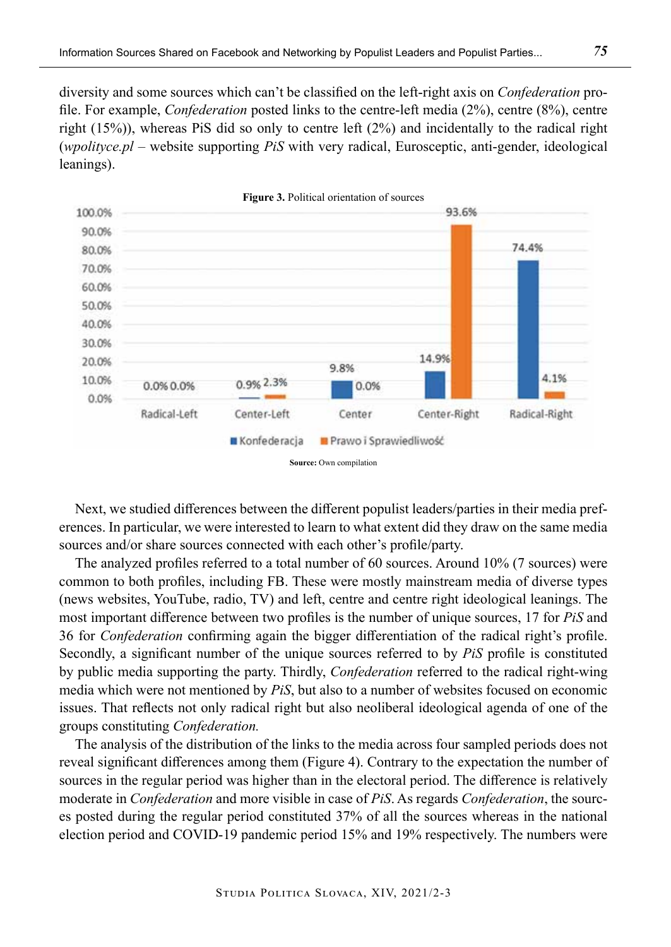diversity and some sources which can't be classified on the left-right axis on *Confederation* profile. For example, *Confederation* posted links to the centre-left media (2%), centre (8%), centre right (15%)), whereas PiS did so only to centre left (2%) and incidentally to the radical right (*wpolityce.pl* – website supporting *PiS* with very radical, Eurosceptic, anti-gender, ideological leanings).



Next, we studied differences between the different populist leaders/parties in their media preferences. In particular, we were interested to learn to what extent did they draw on the same media sources and/or share sources connected with each other's profile/party.

The analyzed profiles referred to a total number of 60 sources. Around 10% (7 sources) were common to both profiles, including FB. These were mostly mainstream media of diverse types (news websites, YouTube, radio, TV) and left, centre and centre right ideological leanings. The most important difference between two profiles is the number of unique sources, 17 for *PiS* and 36 for *Confederation* confirming again the bigger differentiation of the radical right's profile. Secondly, a significant number of the unique sources referred to by *PiS* profile is constituted by public media supporting the party. Thirdly, *Confederation* referred to the radical right-wing media which were not mentioned by *PiS*, but also to a number of websites focused on economic issues. That reflects not only radical right but also neoliberal ideological agenda of one of the groups constituting *Confederation.*

The analysis of the distribution of the links to the media across four sampled periods does not reveal significant differences among them (Figure 4). Contrary to the expectation the number of sources in the regular period was higher than in the electoral period. The difference is relatively moderate in *Confederation* and more visible in case of *PiS*. As regards *Confederation*, the sources posted during the regular period constituted 37% of all the sources whereas in the national election period and COVID-19 pandemic period 15% and 19% respectively. The numbers were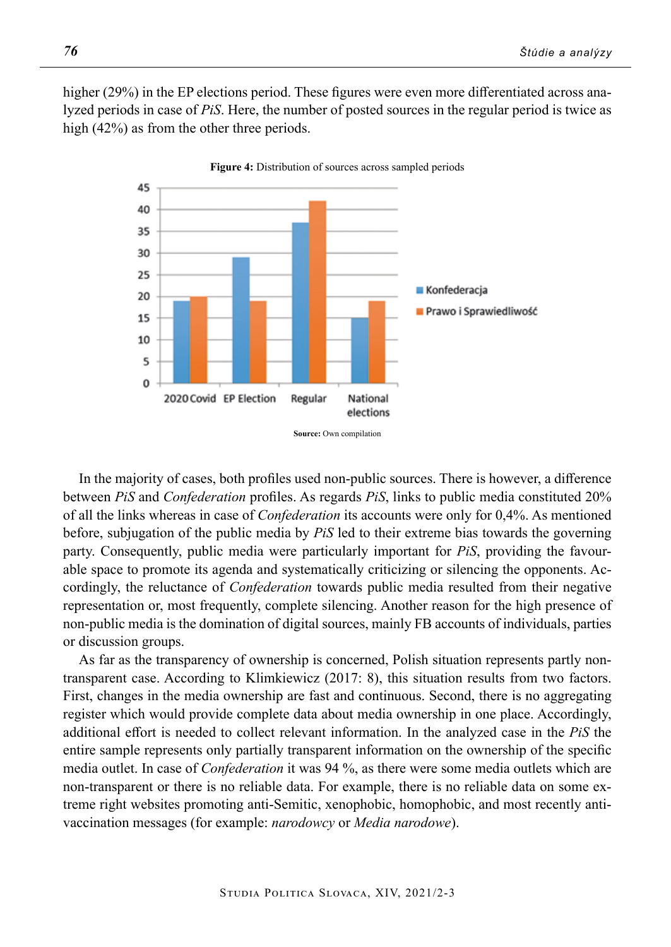higher (29%) in the EP elections period. These figures were even more differentiated across analyzed periods in case of *PiS*. Here, the number of posted sources in the regular period is twice as high (42%) as from the other three periods.



In the majority of cases, both profiles used non-public sources. There is however, a difference between *PiS* and *Confederation* profiles. As regards *PiS*, links to public media constituted 20% of all the links whereas in case of *Confederation* its accounts were only for 0,4%. As mentioned before, subjugation of the public media by *PiS* led to their extreme bias towards the governing party. Consequently, public media were particularly important for *PiS*, providing the favourable space to promote its agenda and systematically criticizing or silencing the opponents. Accordingly, the reluctance of *Confederation* towards public media resulted from their negative representation or, most frequently, complete silencing. Another reason for the high presence of non-public media is the domination of digital sources, mainly FB accounts of individuals, parties or discussion groups.

As far as the transparency of ownership is concerned, Polish situation represents partly nontransparent case. According to Klimkiewicz (2017: 8), this situation results from two factors. First, changes in the media ownership are fast and continuous. Second, there is no aggregating register which would provide complete data about media ownership in one place. Accordingly, additional effort is needed to collect relevant information. In the analyzed case in the *PiS* the entire sample represents only partially transparent information on the ownership of the specific media outlet. In case of *Confederation* it was 94 %, as there were some media outlets which are non-transparent or there is no reliable data. For example, there is no reliable data on some extreme right websites promoting anti-Semitic, xenophobic, homophobic, and most recently antivaccination messages (for example: *narodowcy* or *Media narodowe*).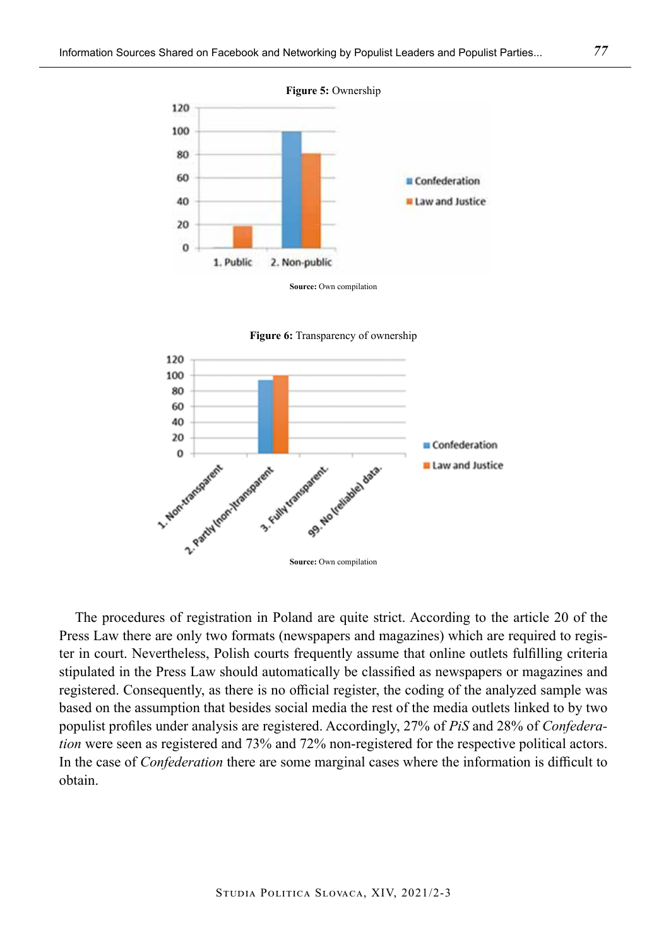





The procedures of registration in Poland are quite strict. According to the article 20 of the Press Law there are only two formats (newspapers and magazines) which are required to register in court. Nevertheless, Polish courts frequently assume that online outlets fulfilling criteria stipulated in the Press Law should automatically be classified as newspapers or magazines and registered. Consequently, as there is no official register, the coding of the analyzed sample was based on the assumption that besides social media the rest of the media outlets linked to by two populist profiles under analysis are registered. Accordingly, 27% of *PiS* and 28% of *Confederation* were seen as registered and 73% and 72% non-registered for the respective political actors. In the case of *Confederation* there are some marginal cases where the information is difficult to obtain.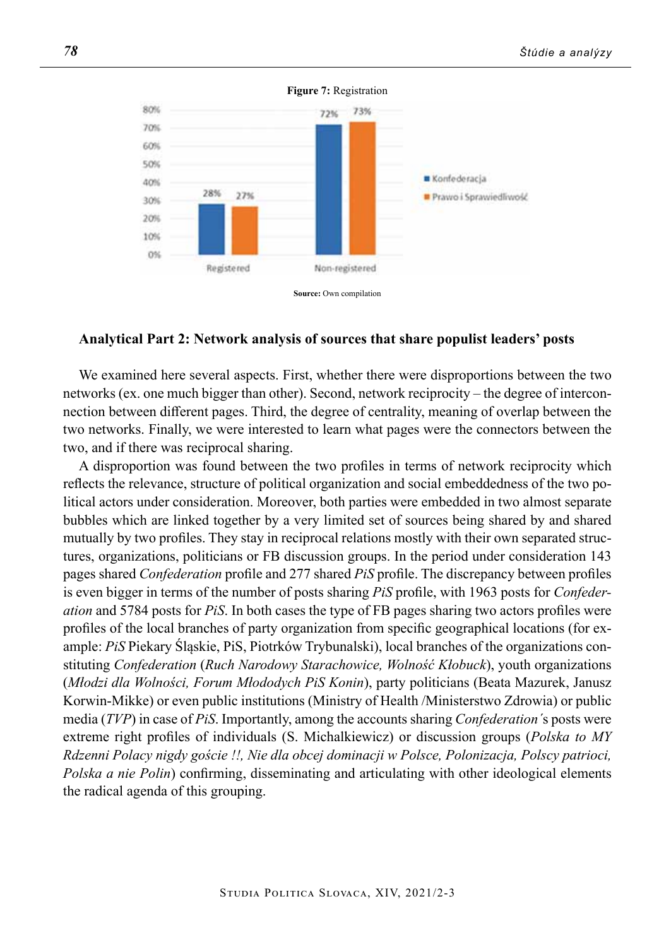

**Figure 7:** Registration

#### **Analytical Part 2: Network analysis of sources that share populist leaders' posts**

We examined here several aspects. First, whether there were disproportions between the two networks (ex. one much bigger than other). Second, network reciprocity – the degree of interconnection between different pages. Third, the degree of centrality, meaning of overlap between the two networks. Finally, we were interested to learn what pages were the connectors between the two, and if there was reciprocal sharing.

A disproportion was found between the two profiles in terms of network reciprocity which reflects the relevance, structure of political organization and social embeddedness of the two political actors under consideration. Moreover, both parties were embedded in two almost separate bubbles which are linked together by a very limited set of sources being shared by and shared mutually by two profiles. They stay in reciprocal relations mostly with their own separated structures, organizations, politicians or FB discussion groups. In the period under consideration 143 pages shared *Confederation* profile and 277 shared *PiS* profile. The discrepancy between profiles is even bigger in terms of the number of posts sharing *PiS* profile, with 1963 posts for *Confederation* and 5784 posts for *PiS*. In both cases the type of FB pages sharing two actors profiles were profiles of the local branches of party organization from specific geographical locations (for example: *PiS* Piekary Śląskie, PiS, Piotrków Trybunalski), local branches of the organizations constituting *Confederation* (*Ruch Narodowy Starachowice, Wolność Kłobuck*), youth organizations (*Młodzi dla Wolności, Forum Młododych PiS Konin*), party politicians (Beata Mazurek, Janusz Korwin-Mikke) or even public institutions (Ministry of Health /Ministerstwo Zdrowia) or public media (*TVP*) in case of *PiS*. Importantly, among the accounts sharing *Confederation´*s posts were extreme right profiles of individuals (S. Michalkiewicz) or discussion groups (*Polska to MY Rdzenni Polacy nigdy goście !!, Nie dla obcej dominacji w Polsce, Polonizacja, Polscy patrioci, Polska a nie Polin*) confirming, disseminating and articulating with other ideological elements the radical agenda of this grouping.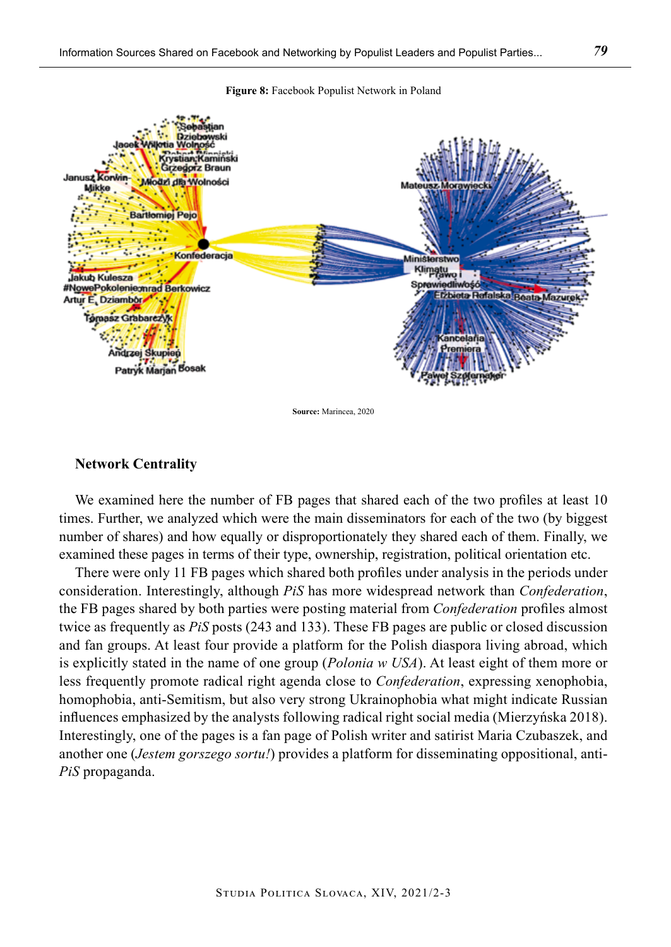

**Figure 8:** Facebook Populist Network in Poland

**Source:** Marincea, 2020

#### **Network Centrality**

We examined here the number of FB pages that shared each of the two profiles at least 10 times. Further, we analyzed which were the main disseminators for each of the two (by biggest number of shares) and how equally or disproportionately they shared each of them. Finally, we examined these pages in terms of their type, ownership, registration, political orientation etc.

There were only 11 FB pages which shared both profiles under analysis in the periods under consideration. Interestingly, although *PiS* has more widespread network than *Confederation*, the FB pages shared by both parties were posting material from *Confederation* profiles almost twice as frequently as *PiS* posts (243 and 133). These FB pages are public or closed discussion and fan groups. At least four provide a platform for the Polish diaspora living abroad, which is explicitly stated in the name of one group (*Polonia w USA*). At least eight of them more or less frequently promote radical right agenda close to *Confederation*, expressing xenophobia, homophobia, anti-Semitism, but also very strong Ukrainophobia what might indicate Russian influences emphasized by the analysts following radical right social media (Mierzyńska 2018). Interestingly, one of the pages is a fan page of Polish writer and satirist Maria Czubaszek, and another one (*Jestem gorszego sortu!*) provides a platform for disseminating oppositional, anti-*PiS* propaganda.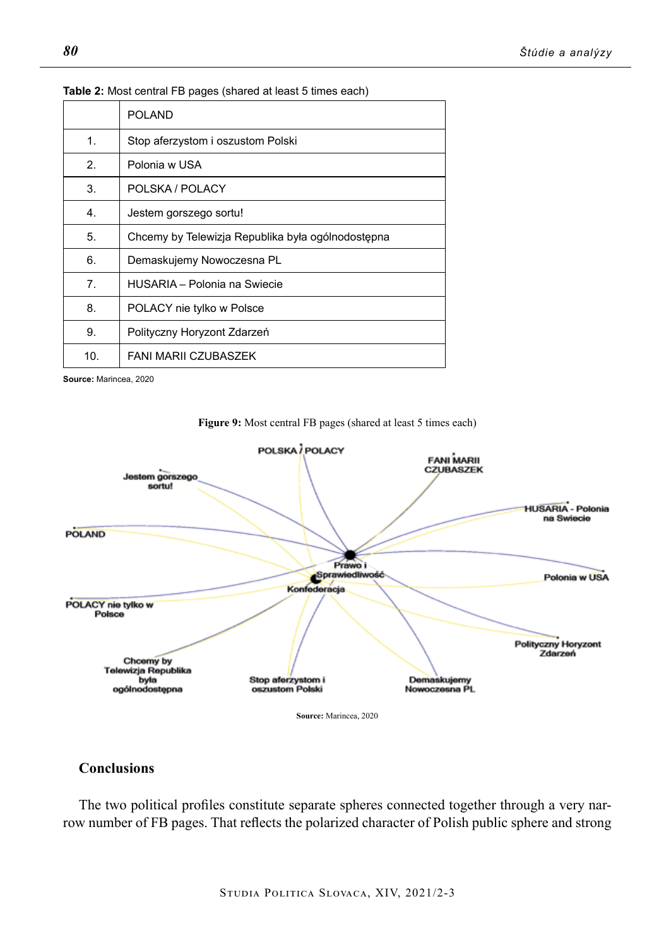|                 | <b>POLAND</b>                                     |
|-----------------|---------------------------------------------------|
| 1               | Stop aferzystom i oszustom Polski                 |
| $\mathcal{P}$   | Polonia w USA                                     |
| 3.              | POLSKA / POLACY                                   |
| 4.              | Jestem gorszego sortu!                            |
| 5.              | Chcemy by Telewizja Republika była ogólnodostępna |
| 6.              | Demaskujemy Nowoczesna PL                         |
| 7.              | HUSARIA - Polonia na Swiecie                      |
| 8.              | POLACY nie tylko w Polsce                         |
| 9.              | Polityczny Horyzont Zdarzeń                       |
| 10 <sub>1</sub> | <b>FANI MARII CZUBASZEK</b>                       |

#### **Table 2:** Most central FB pages (shared at least 5 times each)

**Source:** Marincea, 2020



## **Figure 9:** Most central FB pages (shared at least 5 times each)

# **Conclusions**

The two political profiles constitute separate spheres connected together through a very narrow number of FB pages. That reflects the polarized character of Polish public sphere and strong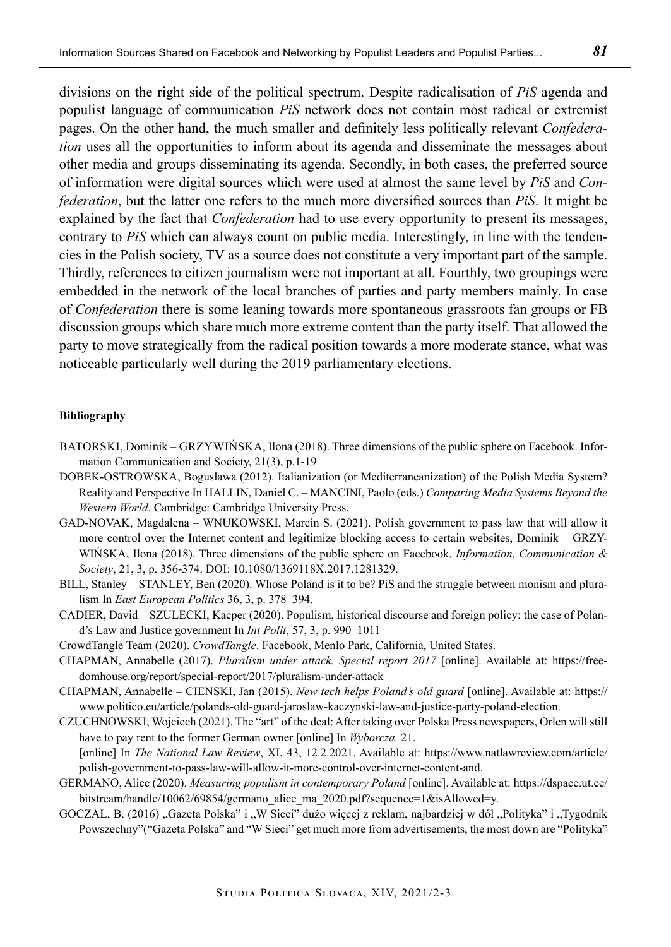divisions on the right side of the political spectrum. Despite radicalisation of *PiS* agenda and populist language of communication *PiS* network does not contain most radical or extremist pages. On the other hand, the much smaller and definitely less politically relevant *Confederation* uses all the opportunities to inform about its agenda and disseminate the messages about other media and groups disseminating its agenda. Secondly, in both cases, the preferred source of information were digital sources which were used at almost the same level by *PiS* and *Confederation*, but the latter one refers to the much more diversified sources than *PiS*. It might be explained by the fact that *Confederation* had to use every opportunity to present its messages, contrary to *PiS* which can always count on public media. Interestingly, in line with the tendencies in the Polish society, TV as a source does not constitute a very important part of the sample. Thirdly, references to citizen journalism were not important at all. Fourthly, two groupings were embedded in the network of the local branches of parties and party members mainly. In case of *Confederation* there is some leaning towards more spontaneous grassroots fan groups or FB discussion groups which share much more extreme content than the party itself. That allowed the party to move strategically from the radical position towards a more moderate stance, what was noticeable particularly well during the 2019 parliamentary elections.

#### **Bibliography**

- Batorski, Dominik Grzywińska, Ilona (2018). Three dimensions of the public sphere on Facebook. Information Communication and Society, 21(3), p.1-19
- DOBEK-OSTROWSKA, Boguslawa (2012). Italianization (or Mediterraneanization) of the Polish Media System? Reality and Perspective In HALLIN, Daniel C. – MANCINI, Paolo (eds.) *Comparing Media Systems Beyond the Western World*. Cambridge: Cambridge University Press.
- GAD-NOVAK, Magdalena WNUKOWSKI, Marcin S. (2021). Polish government to pass law that will allow it more control over the Internet content and legitimize blocking access to certain websites, Dominik – GRZY-WIŃSKA, Ilona (2018). Three dimensions of the public sphere on Facebook, *Information, Communication & Society*, 21, 3, p. 356-374. DOI: 10.1080/1369118X.2017.1281329.
- BILL, Stanley STANLEY, Ben (2020). Whose Poland is it to be? PiS and the struggle between monism and pluralism In *East European Politics* 36, 3, p. 378–394.
- CADIER, David SZULECKI, Kacper (2020). Populism, historical discourse and foreign policy: the case of Poland's Law and Justice government In *Int Polit*, 57, 3, p. 990–1011
- CrowdTangle Team (2020). *CrowdTangle*. Facebook, Menlo Park, California, United States.
- CHAPMAN, Annabelle (2017). *Pluralism under attack. Special report 2017* [online]. Available at: https://freedomhouse.org/report/special-report/2017/pluralism-under-attack
- CHAPMAN, Annabelle CIENSKI, Jan (2015). *New tech helps Poland's old guard* [online]. Available at: https:// www.politico.eu/article/polands-old-guard-jaroslaw-kaczynski-law-and-justice-party-poland-election.
- CZUCHNOWSKI, Wojciech (2021). The "art" of the deal: After taking over Polska Press newspapers, Orlen will still have to pay rent to the former German owner [online] In *Wyborcza,* 21. [online] In *The National Law Review*, XI, 43, 12.2.2021. Available at: https://www.natlawreview.com/article/ polish-government-to-pass-law-will-allow-it-more-control-over-internet-content-and.
- GERMANO, Alice (2020). *Measuring populism in contemporary Poland* [online]. Available at: https://dspace.ut.ee/ bitstream/handle/10062/69854/germano\_alice\_ma\_2020.pdf?sequence=1&isAllowed=y.
- GOCZAL, B. (2016) "Gazeta Polska" i "W Sieci" dużo więcej z reklam, najbardziej w dół "Polityka" i "Tygodnik Powszechny"("Gazeta Polska" and "W Sieci" get much more from advertisements, the most down are "Polityka"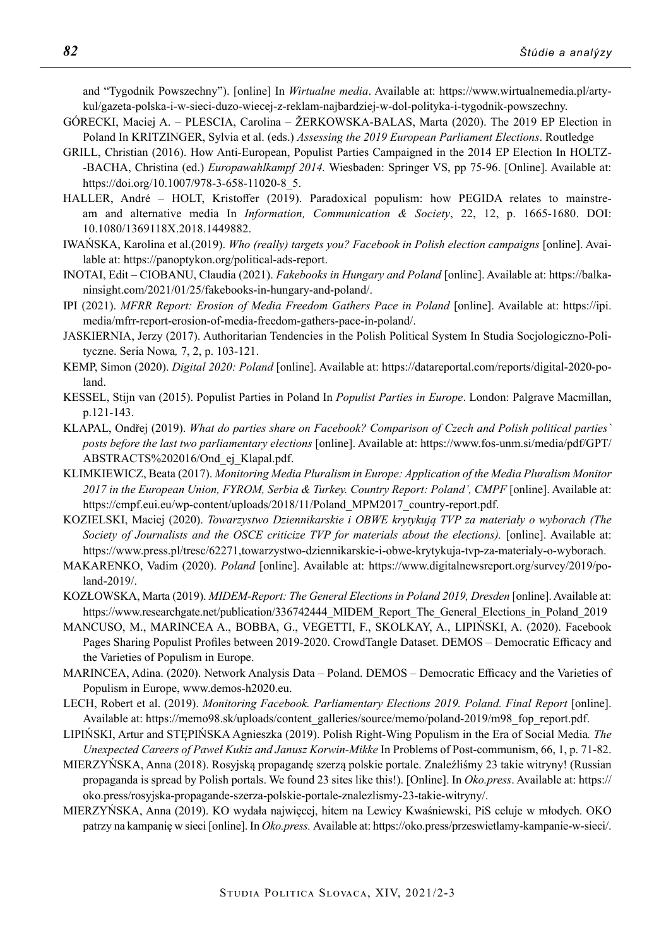and "Tygodnik Powszechny"). [online] In *Wirtualne media*. Available at: https://www.wirtualnemedia.pl/artykul/gazeta-polska-i-w-sieci-duzo-wiecej-z-reklam-najbardziej-w-dol-polityka-i-tygodnik-powszechny.

- GÓRECKI, Maciej A. PLESCIA, Carolina ŽERKOWSKA-BALAS, Marta (2020). The 2019 EP Election in Poland In KRITZINGER, Sylvia et al. (eds.) *Assessing the 2019 European Parliament Elections*. Routledge
- GRILL, Christian (2016). How Anti-European, Populist Parties Campaigned in the 2014 EP Election In HOLTZ- -BACHA, Christina (ed.) *Europawahlkampf 2014.* Wiesbaden: Springer VS, pp 75-96. [Online]. Available at: https://doi.org/10.1007/978-3-658-11020-8\_5.
- HALLER, André HOLT, Kristoffer (2019). Paradoxical populism: how PEGIDA relates to mainstream and alternative media In *Information, Communication & Society*, 22, 12, p. 1665-1680. DOI: 10.1080/1369118X.2018.1449882.
- IWAŃSKA, Karolina et al.(2019). *Who (really) targets you? Facebook in Polish election campaigns* [online]. Available at: https://panoptykon.org/political-ads-report.
- INOTAI, Edit CIOBANU, Claudia (2021). *Fakebooks in Hungary and Poland* [online]. Available at: https://balkaninsight.com/2021/01/25/fakebooks-in-hungary-and-poland/.
- IPI (2021). *MFRR Report: Erosion of Media Freedom Gathers Pace in Poland* [online]. Available at: https://ipi. media/mfrr-report-erosion-of-media-freedom-gathers-pace-in-poland/.
- JASKIERNIA, Jerzy (2017). Authoritarian Tendencies in the Polish Political System In Studia Socjologiczno-Polityczne. Seria Nowa*,* 7, 2, p. 103-121.
- KEMP, Simon (2020). *Digital 2020: Poland* [online]. Available at: https://datareportal.com/reports/digital-2020-poland.
- KESSEL, Stijn van (2015). Populist Parties in Poland In *Populist Parties in Europe*. London: Palgrave Macmillan, p.121-143.
- KLAPAL, Ondřej (2019). *What do parties share on Facebook? Comparison of Czech and Polish political parties` posts before the last two parliamentary elections* [online]. Available at: https://www.fos-unm.si/media/pdf/GPT/ ABSTRACTS%202016/Ond ej Klapal.pdf.
- KLIMKIEWICZ, Beata (2017). *Monitoring Media Pluralism in Europe: Application of the Media Pluralism Monitor 2017 in the European Union, FYROM, Serbia & Turkey. Country Report: Poland', CMPF* [online]. Available at: https://cmpf.eui.eu/wp-content/uploads/2018/11/Poland\_MPM2017\_country-report.pdf.
- KOZIELSKI, Maciej (2020). *Towarzystwo Dziennikarskie i OBWE krytykują TVP za materiały o wyborach (The Society of Journalists and the OSCE criticize TVP for materials about the elections).* [online]. Available at: https://www.press.pl/tresc/62271,towarzystwo-dziennikarskie-i-obwe-krytykuja-tvp-za-materialy-o-wyborach.
- MAKARENKO, Vadim (2020). *Poland* [online]. Available at: https://www.digitalnewsreport.org/survey/2019/poland-2019/.
- KOZŁOWSKA, Marta (2019). *MIDEM-Report: The General Elections in Poland 2019, Dresden* [online]. Available at: https://www.researchgate.net/publication/336742444\_MIDEM\_Report\_The\_General\_Elections\_in\_Poland\_2019
- MANCUSO, M., MARINCEA A., BOBBA, G., VEGETTI, F., SKOLKAY, A., LIPIŃSKI, A. (2020). Facebook Pages Sharing Populist Profiles between 2019-2020. CrowdTangle Dataset. DEMOS – Democratic Efficacy and the Varieties of Populism in Europe.
- MARINCEA, Adina. (2020). Network Analysis Data Poland. DEMOS Democratic Efficacy and the Varieties of Populism in Europe, www.demos-h2020.eu.
- LECH, Robert et al. (2019). *Monitoring Facebook. Parliamentary Elections 2019. Poland. Final Report* [online]. Available at: https://memo98.sk/uploads/content\_galleries/source/memo/poland-2019/m98\_fop\_report.pdf.
- LIPIŃSKI, Artur and STĘPIŃSKA Agnieszka (2019). Polish Right-Wing Populism in the Era of Social Media*. The Unexpected Careers of Paweł Kukiz and Janusz Korwin-Mikke* In Problems of Post-communism, 66, 1, p. 71-82.
- MIERZYŃSKA, Anna (2018). Rosyjską propagandę szerzą polskie portale. Znaleźliśmy 23 takie witryny! (Russian propaganda is spread by Polish portals. We found 23 sites like this!). [Online]. In *Oko.press*. Available at: https:// oko.press/rosyjska-propagande-szerza-polskie-portale-znalezlismy-23-takie-witryny/.
- MIERZYŃSKA, Anna (2019). KO wydała najwięcej, hitem na Lewicy Kwaśniewski, PiS celuje w młodych. OKO patrzy na kampanię w sieci [online]. In *Oko.press.* Available at: https://oko.press/przeswietlamy-kampanie-w-sieci/.